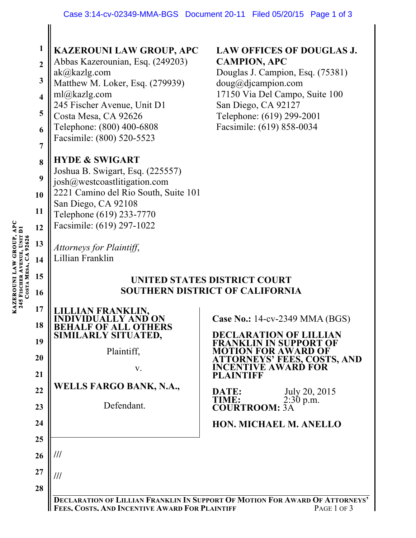| $\mathbf{1}$<br>$\overline{2}$<br>$\mathbf{3}$<br>$\overline{\mathbf{4}}$<br>5<br>6        | <b>KAZEROUNI LAW GROUP, APC</b><br>Abbas Kazerounian, Esq. (249203)<br>ak@kazlg.com<br>Matthew M. Loker, Esq. (279939)<br>ml@kazlg.com<br>245 Fischer Avenue, Unit D1<br>Costa Mesa, CA 92626<br>Telephone: (800) 400-6808<br>Facsimile: (800) 520-5523 | <b>LAW OFFICES OF DOUGLAS J.</b><br><b>CAMPION, APC</b><br>Douglas J. Campion, Esq. (75381)<br>doug@djaampion.com<br>17150 Via Del Campo, Suite 100<br>San Diego, CA 92127<br>Telephone: (619) 299-2001<br>Facsimile: (619) 858-0034                                 |
|--------------------------------------------------------------------------------------------|---------------------------------------------------------------------------------------------------------------------------------------------------------------------------------------------------------------------------------------------------------|----------------------------------------------------------------------------------------------------------------------------------------------------------------------------------------------------------------------------------------------------------------------|
| 7<br>8<br>9<br>10<br>11<br>12<br>245 FISCHER AVENUE, UNIT DI<br>COSTA MESA, CA 92656<br>13 | <b>HYDE &amp; SWIGART</b><br>Joshua B. Swigart, Esq. (225557)<br>josh@westcoastlitigation.com<br>2221 Camino del Rio South, Suite 101<br>San Diego, CA 92108<br>Telephone (619) 233-7770<br>Facsimile: (619) 297-1022<br>Attorneys for Plaintiff,       |                                                                                                                                                                                                                                                                      |
| 14<br>15<br>16<br>17<br>18                                                                 | Lillian Franklin<br><b>BEHALF OF ALL OTHERS<br/>SIMILARLY SITUATED,</b>                                                                                                                                                                                 | UNITED STATES DISTRICT COURT<br><b>SOUTHERN DISTRICT OF CALIFORNIA</b><br>Case No.: 14-cv-2349 MMA (BGS)                                                                                                                                                             |
| 19<br>20<br>21<br>22<br>23                                                                 | Plaintiff,<br>V.<br><b>WELLS FARGO BANK, N.A.,</b><br>Defendant.                                                                                                                                                                                        | <b>DECLARATION OF LILLIAN</b><br>KLIN IN SUPPORT OF<br>FRANI<br><b>MOTION FOR AWARD OF</b><br><b>ATTORNEYS' FEES, COSTS, AND</b><br><b>INCENTIVE AWARD FOR</b><br><b>PLAINTIFF</b><br>July 20, 2015<br>DATE:<br>TIME:<br>$2:30 \text{ p.m.}$<br><b>COURTROOM: 3A</b> |
| 24<br>25<br>26<br>27<br>28                                                                 | ///<br>///<br>FEES. COSTS. AND INCENTIVE AWARD FOR PLAINTIFF                                                                                                                                                                                            | <b>HON. MICHAEL M. ANELLO</b><br>DECLARATION OF LILLIAN FRANKLIN IN SUPPORT OF MOTION FOR AWARD OF ATTORNEYS'<br>PAGE 1 OF 3                                                                                                                                         |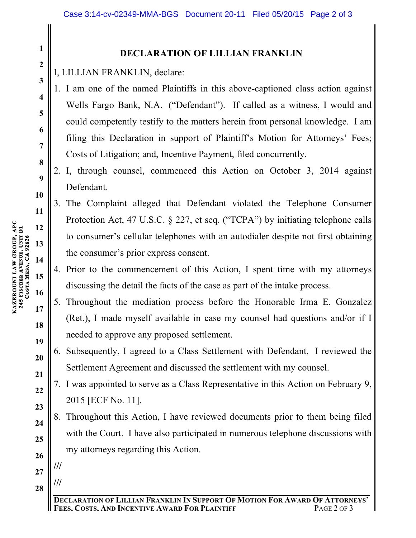## **DECLARATION OF LILLIAN FRANKLIN**

I, LILLIAN FRANKLIN, declare:

- 1. I am one of the named Plaintiffs in this above-captioned class action against Wells Fargo Bank, N.A. ("Defendant"). If called as a witness, I would and could competently testify to the matters herein from personal knowledge. I am filing this Declaration in support of Plaintiff's Motion for Attorneys' Fees; Costs of Litigation; and, Incentive Payment, filed concurrently.
- 2. I, through counsel, commenced this Action on October 3, 2014 against Defendant.
- 3. The Complaint alleged that Defendant violated the Telephone Consumer Protection Act, 47 U.S.C. § 227, et seq. ("TCPA") by initiating telephone calls to consumer's cellular telephones with an autodialer despite not first obtaining the consumer's prior express consent.
- 4. Prior to the commencement of this Action, I spent time with my attorneys discussing the detail the facts of the case as part of the intake process.
- 5. Throughout the mediation process before the Honorable Irma E. Gonzalez (Ret.), I made myself available in case my counsel had questions and/or if I needed to approve any proposed settlement.
- 6. Subsequently, I agreed to a Class Settlement with Defendant. I reviewed the Settlement Agreement and discussed the settlement with my counsel.
- 7. I was appointed to serve as a Class Representative in this Action on February 9, 2015 [ECF No. 11].
- 8. Throughout this Action, I have reviewed documents prior to them being filed with the Court. I have also participated in numerous telephone discussions with my attorneys regarding this Action.

**27**

**///**

**///**

**28**

**1**

**2**

**3**

**4**

**5**

**6**

**7**

**8**

**9**

**10**

**11**

**12**

**13**

**14**

**15**

**16**

**17**

**18**

**19**

**20**

**21**

**22**

**23**

**24**

**25**

**26**